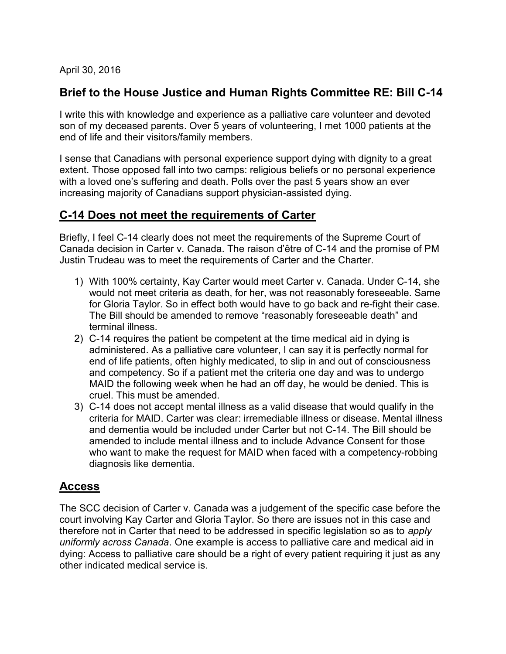April 30, 2016

### Brief to the House Justice and Human Rights Committee RE: Bill C-14

I write this with knowledge and experience as a palliative care volunteer and devoted son of my deceased parents. Over 5 years of volunteering, I met 1000 patients at the end of life and their visitors/family members.

I sense that Canadians with personal experience support dying with dignity to a great extent. Those opposed fall into two camps: religious beliefs or no personal experience with a loved one's suffering and death. Polls over the past 5 years show an ever increasing majority of Canadians support physician-assisted dying.

## C-14 Does not meet the requirements of Carter

Briefly, I feel C-14 clearly does not meet the requirements of the Supreme Court of Canada decision in Carter v. Canada. The raison d'être of C-14 and the promise of PM Justin Trudeau was to meet the requirements of Carter and the Charter.

- 1) With 100% certainty, Kay Carter would meet Carter v. Canada. Under C-14, she would not meet criteria as death, for her, was not reasonably foreseeable. Same for Gloria Taylor. So in effect both would have to go back and re-fight their case. The Bill should be amended to remove "reasonably foreseeable death" and terminal illness.
- 2) C-14 requires the patient be competent at the time medical aid in dying is administered. As a palliative care volunteer, I can say it is perfectly normal for end of life patients, often highly medicated, to slip in and out of consciousness and competency. So if a patient met the criteria one day and was to undergo MAID the following week when he had an off day, he would be denied. This is cruel. This must be amended.
- 3) C-14 does not accept mental illness as a valid disease that would qualify in the criteria for MAID. Carter was clear: irremediable illness or disease. Mental illness and dementia would be included under Carter but not C-14. The Bill should be amended to include mental illness and to include Advance Consent for those who want to make the request for MAID when faced with a competency-robbing diagnosis like dementia.

### Access

The SCC decision of Carter v. Canada was a judgement of the specific case before the court involving Kay Carter and Gloria Taylor. So there are issues not in this case and therefore not in Carter that need to be addressed in specific legislation so as to apply uniformly across Canada. One example is access to palliative care and medical aid in dying: Access to palliative care should be a right of every patient requiring it just as any other indicated medical service is.